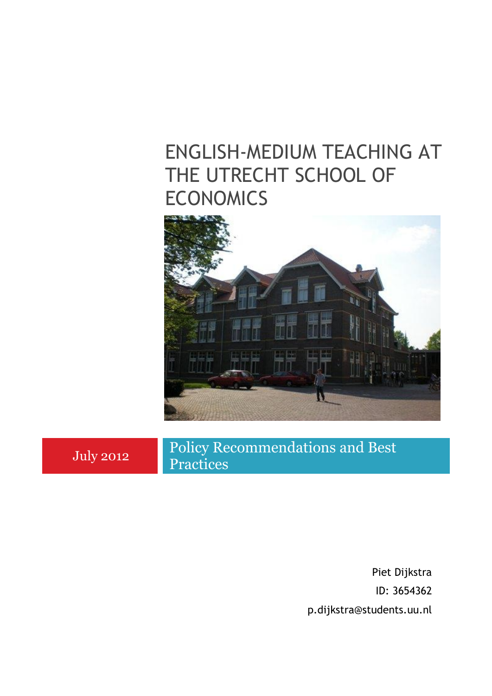# ENGLISH-MEDIUM TEACHING AT THE UTRECHT SCHOOL OF **ECONOMICS**



July 2012

Policy Recommendations and Best Practices

> Piet Dijkstra ID: 3654362 p.dijkstra@students.uu.nl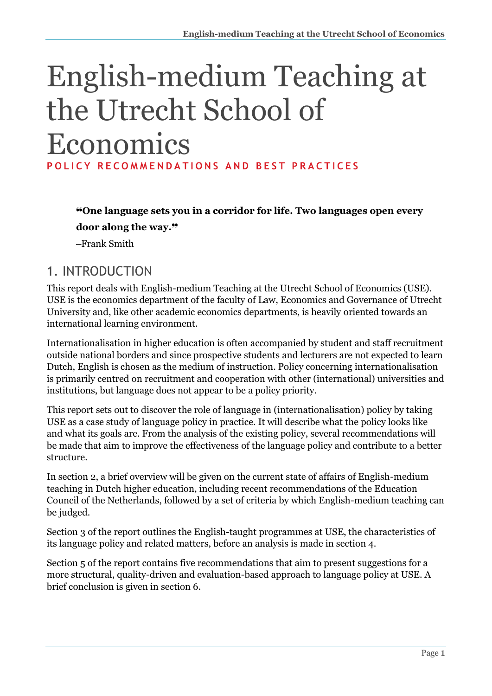# English-medium Teaching at the Utrecht School of Economics **POLICY RECOMMENDATIONS AND BEST PRACTICES**

❝**One language sets you in a corridor for life. Two languages open every door along the way.**❞

‒Frank Smith

## 1. INTRODUCTION

This report deals with English-medium Teaching at the Utrecht School of Economics (USE). USE is the economics department of the faculty of Law, Economics and Governance of Utrecht University and, like other academic economics departments, is heavily oriented towards an international learning environment.

Internationalisation in higher education is often accompanied by student and staff recruitment outside national borders and since prospective students and lecturers are not expected to learn Dutch, English is chosen as the medium of instruction. Policy concerning internationalisation is primarily centred on recruitment and cooperation with other (international) universities and institutions, but language does not appear to be a policy priority.

This report sets out to discover the role of language in (internationalisation) policy by taking USE as a case study of language policy in practice. It will describe what the policy looks like and what its goals are. From the analysis of the existing policy, several recommendations will be made that aim to improve the effectiveness of the language policy and contribute to a better structure.

In section 2, a brief overview will be given on the current state of affairs of English-medium teaching in Dutch higher education, including recent recommendations of the Education Council of the Netherlands, followed by a set of criteria by which English-medium teaching can be judged.

Section 3 of the report outlines the English-taught programmes at USE, the characteristics of its language policy and related matters, before an analysis is made in section 4.

Section 5 of the report contains five recommendations that aim to present suggestions for a more structural, quality-driven and evaluation-based approach to language policy at USE. A brief conclusion is given in section 6.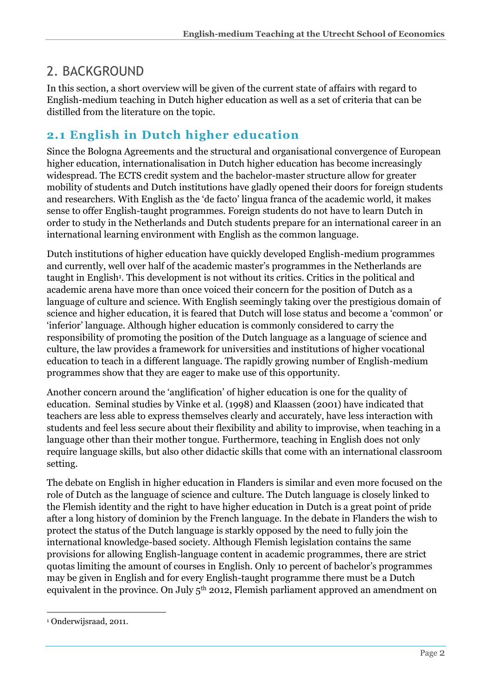## 2. BACKGROUND

In this section, a short overview will be given of the current state of affairs with regard to English-medium teaching in Dutch higher education as well as a set of criteria that can be distilled from the literature on the topic.

## **2.1 English in Dutch higher education**

Since the Bologna Agreements and the structural and organisational convergence of European higher education, internationalisation in Dutch higher education has become increasingly widespread. The ECTS credit system and the bachelor-master structure allow for greater mobility of students and Dutch institutions have gladly opened their doors for foreign students and researchers. With English as the 'de facto' lingua franca of the academic world, it makes sense to offer English-taught programmes. Foreign students do not have to learn Dutch in order to study in the Netherlands and Dutch students prepare for an international career in an international learning environment with English as the common language.

Dutch institutions of higher education have quickly developed English-medium programmes and currently, well over half of the academic master's programmes in the Netherlands are taught in English<sup>1</sup>. This development is not without its critics. Critics in the political and academic arena have more than once voiced their concern for the position of Dutch as a language of culture and science. With English seemingly taking over the prestigious domain of science and higher education, it is feared that Dutch will lose status and become a 'common' or 'inferior' language. Although higher education is commonly considered to carry the responsibility of promoting the position of the Dutch language as a language of science and culture, the law provides a framework for universities and institutions of higher vocational education to teach in a different language. The rapidly growing number of English-medium programmes show that they are eager to make use of this opportunity.

Another concern around the 'anglification' of higher education is one for the quality of education. Seminal studies by Vinke et al. (1998) and Klaassen (2001) have indicated that teachers are less able to express themselves clearly and accurately, have less interaction with students and feel less secure about their flexibility and ability to improvise, when teaching in a language other than their mother tongue. Furthermore, teaching in English does not only require language skills, but also other didactic skills that come with an international classroom setting.

The debate on English in higher education in Flanders is similar and even more focused on the role of Dutch as the language of science and culture. The Dutch language is closely linked to the Flemish identity and the right to have higher education in Dutch is a great point of pride after a long history of dominion by the French language. In the debate in Flanders the wish to protect the status of the Dutch language is starkly opposed by the need to fully join the international knowledge-based society. Although Flemish legislation contains the same provisions for allowing English-language content in academic programmes, there are strict quotas limiting the amount of courses in English. Only 10 percent of bachelor's programmes may be given in English and for every English-taught programme there must be a Dutch equivalent in the province. On July  $5<sup>th</sup>$  2012, Flemish parliament approved an amendment on

-

<sup>1</sup> Onderwijsraad, 2011.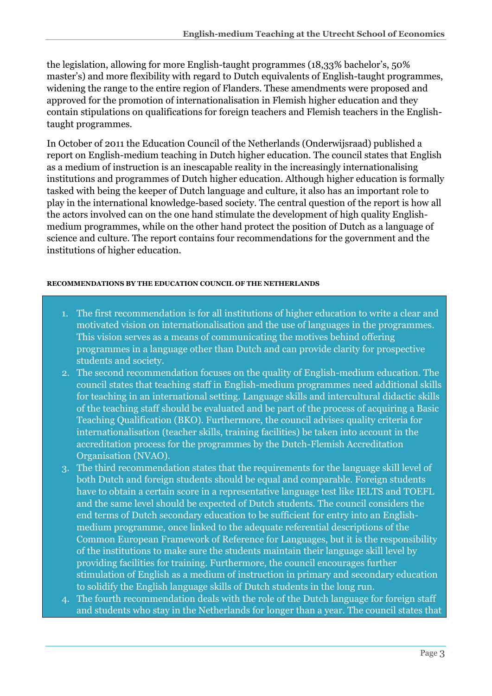the legislation, allowing for more English-taught programmes (18,33% bachelor's, 50% master's) and more flexibility with regard to Dutch equivalents of English-taught programmes, widening the range to the entire region of Flanders. These amendments were proposed and approved for the promotion of internationalisation in Flemish higher education and they contain stipulations on qualifications for foreign teachers and Flemish teachers in the Englishtaught programmes.

In October of 2011 the Education Council of the Netherlands (Onderwijsraad) published a report on English-medium teaching in Dutch higher education. The council states that English as a medium of instruction is an inescapable reality in the increasingly internationalising institutions and programmes of Dutch higher education. Although higher education is formally tasked with being the keeper of Dutch language and culture, it also has an important role to play in the international knowledge-based society. The central question of the report is how all the actors involved can on the one hand stimulate the development of high quality Englishmedium programmes, while on the other hand protect the position of Dutch as a language of science and culture. The report contains four recommendations for the government and the institutions of higher education.

### **RECOMMENDATIONS BY THE EDUCATION COUNCIL OF THE NETHERLANDS**

- 1. The first recommendation is for all institutions of higher education to write a clear and motivated vision on internationalisation and the use of languages in the programmes. This vision serves as a means of communicating the motives behind offering programmes in a language other than Dutch and can provide clarity for prospective students and society.
- 2. The second recommendation focuses on the quality of English-medium education. The council states that teaching staff in English-medium programmes need additional skills for teaching in an international setting. Language skills and intercultural didactic skills of the teaching staff should be evaluated and be part of the process of acquiring a Basic Teaching Qualification (BKO). Furthermore, the council advises quality criteria for internationalisation (teacher skills, training facilities) be taken into account in the accreditation process for the programmes by the Dutch-Flemish Accreditation Organisation (NVAO).
- 3. The third recommendation states that the requirements for the language skill level of both Dutch and foreign students should be equal and comparable. Foreign students have to obtain a certain score in a representative language test like IELTS and TOEFL and the same level should be expected of Dutch students. The council considers the end terms of Dutch secondary education to be sufficient for entry into an Englishmedium programme, once linked to the adequate referential descriptions of the Common European Framework of Reference for Languages, but it is the responsibility of the institutions to make sure the students maintain their language skill level by providing facilities for training. Furthermore, the council encourages further stimulation of English as a medium of instruction in primary and secondary education to solidify the English language skills of Dutch students in the long run.
- 4. The fourth recommendation deals with the role of the Dutch language for foreign staff and students who stay in the Netherlands for longer than a year. The council states that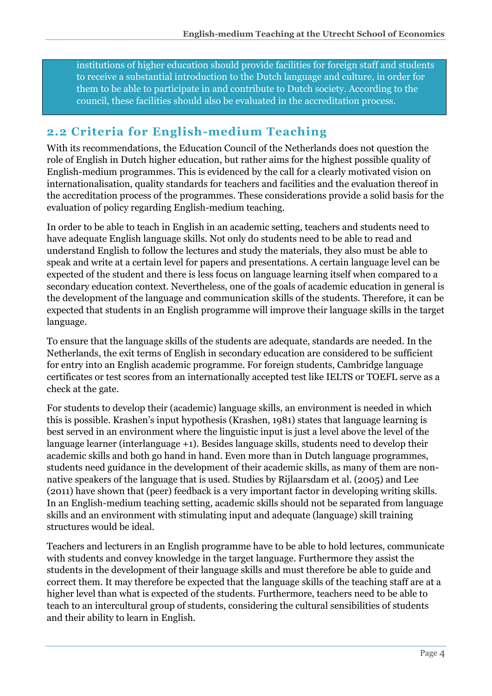institutions of higher education should provide facilities for foreign staff and students to receive a substantial introduction to the Dutch language and culture, in order for them to be able to participate in and contribute to Dutch society. According to the council, these facilities should also be evaluated in the accreditation process.

## **2.2 Criteria for English-medium Teaching**

With its recommendations, the Education Council of the Netherlands does not question the role of English in Dutch higher education, but rather aims for the highest possible quality of English-medium programmes. This is evidenced by the call for a clearly motivated vision on internationalisation, quality standards for teachers and facilities and the evaluation thereof in the accreditation process of the programmes. These considerations provide a solid basis for the evaluation of policy regarding English-medium teaching.

In order to be able to teach in English in an academic setting, teachers and students need to have adequate English language skills. Not only do students need to be able to read and understand English to follow the lectures and study the materials, they also must be able to speak and write at a certain level for papers and presentations. A certain language level can be expected of the student and there is less focus on language learning itself when compared to a secondary education context. Nevertheless, one of the goals of academic education in general is the development of the language and communication skills of the students. Therefore, it can be expected that students in an English programme will improve their language skills in the target language.

To ensure that the language skills of the students are adequate, standards are needed. In the Netherlands, the exit terms of English in secondary education are considered to be sufficient for entry into an English academic programme. For foreign students, Cambridge language certificates or test scores from an internationally accepted test like IELTS or TOEFL serve as a check at the gate.

For students to develop their (academic) language skills, an environment is needed in which this is possible. Krashen's input hypothesis (Krashen, 1981) states that language learning is best served in an environment where the linguistic input is just a level above the level of the language learner (interlanguage +1). Besides language skills, students need to develop their academic skills and both go hand in hand. Even more than in Dutch language programmes, students need guidance in the development of their academic skills, as many of them are nonnative speakers of the language that is used. Studies by Rijlaarsdam et al. (2005) and Lee (2011) have shown that (peer) feedback is a very important factor in developing writing skills. In an English-medium teaching setting, academic skills should not be separated from language skills and an environment with stimulating input and adequate (language) skill training structures would be ideal.

Teachers and lecturers in an English programme have to be able to hold lectures, communicate with students and convey knowledge in the target language. Furthermore they assist the students in the development of their language skills and must therefore be able to guide and correct them. It may therefore be expected that the language skills of the teaching staff are at a higher level than what is expected of the students. Furthermore, teachers need to be able to teach to an intercultural group of students, considering the cultural sensibilities of students and their ability to learn in English.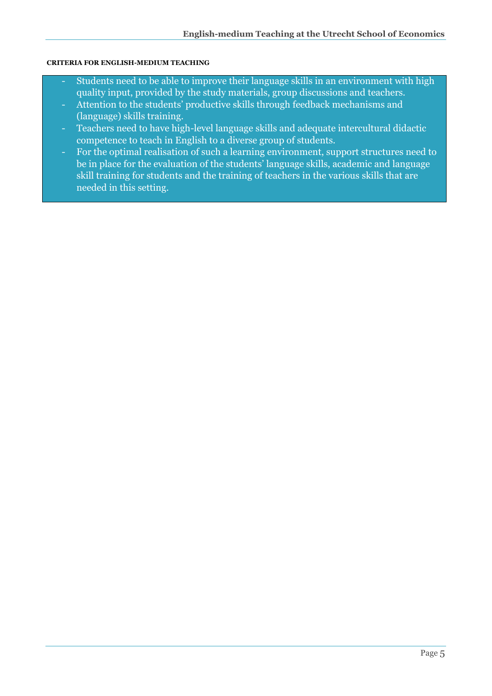### **CRITERIA FOR ENGLISH-MEDIUM TEACHING**

- Students need to be able to improve their language skills in an environment with high quality input, provided by the study materials, group discussions and teachers.
- Attention to the students' productive skills through feedback mechanisms and (language) skills training.
- Teachers need to have high-level language skills and adequate intercultural didactic competence to teach in English to a diverse group of students.
- For the optimal realisation of such a learning environment, support structures need to be in place for the evaluation of the students' language skills, academic and language skill training for students and the training of teachers in the various skills that are needed in this setting.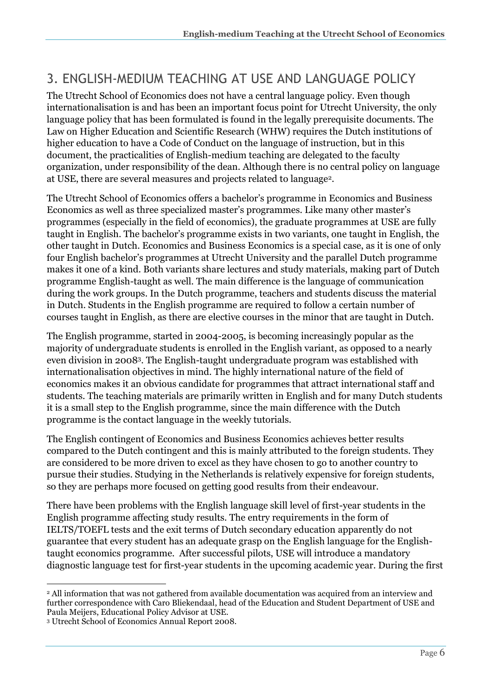## 3. ENGLISH-MEDIUM TEACHING AT USE AND LANGUAGE POLICY

The Utrecht School of Economics does not have a central language policy. Even though internationalisation is and has been an important focus point for Utrecht University, the only language policy that has been formulated is found in the legally prerequisite documents. The Law on Higher Education and Scientific Research (WHW) requires the Dutch institutions of higher education to have a Code of Conduct on the language of instruction, but in this document, the practicalities of English-medium teaching are delegated to the faculty organization, under responsibility of the dean. Although there is no central policy on language at USE, there are several measures and projects related to language2.

The Utrecht School of Economics offers a bachelor's programme in Economics and Business Economics as well as three specialized master's programmes. Like many other master's programmes (especially in the field of economics), the graduate programmes at USE are fully taught in English. The bachelor's programme exists in two variants, one taught in English, the other taught in Dutch. Economics and Business Economics is a special case, as it is one of only four English bachelor's programmes at Utrecht University and the parallel Dutch programme makes it one of a kind. Both variants share lectures and study materials, making part of Dutch programme English-taught as well. The main difference is the language of communication during the work groups. In the Dutch programme, teachers and students discuss the material in Dutch. Students in the English programme are required to follow a certain number of courses taught in English, as there are elective courses in the minor that are taught in Dutch.

The English programme, started in 2004-2005, is becoming increasingly popular as the majority of undergraduate students is enrolled in the English variant, as opposed to a nearly even division in 20083. The English-taught undergraduate program was established with internationalisation objectives in mind. The highly international nature of the field of economics makes it an obvious candidate for programmes that attract international staff and students. The teaching materials are primarily written in English and for many Dutch students it is a small step to the English programme, since the main difference with the Dutch programme is the contact language in the weekly tutorials.

The English contingent of Economics and Business Economics achieves better results compared to the Dutch contingent and this is mainly attributed to the foreign students. They are considered to be more driven to excel as they have chosen to go to another country to pursue their studies. Studying in the Netherlands is relatively expensive for foreign students, so they are perhaps more focused on getting good results from their endeavour.

There have been problems with the English language skill level of first-year students in the English programme affecting study results. The entry requirements in the form of IELTS/TOEFL tests and the exit terms of Dutch secondary education apparently do not guarantee that every student has an adequate grasp on the English language for the Englishtaught economics programme. After successful pilots, USE will introduce a mandatory diagnostic language test for first-year students in the upcoming academic year. During the first

<sup>-</sup><sup>2</sup> All information that was not gathered from available documentation was acquired from an interview and further correspondence with Caro Bliekendaal, head of the Education and Student Department of USE and Paula Meijers, Educational Policy Advisor at USE.

<sup>3</sup> Utrecht School of Economics Annual Report 2008.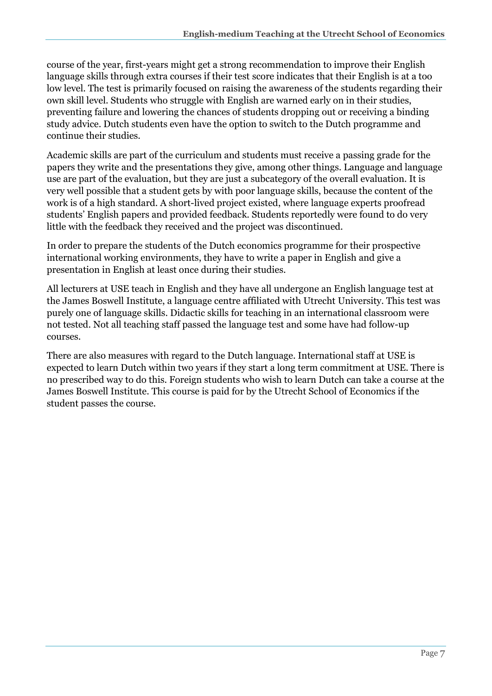course of the year, first-years might get a strong recommendation to improve their English language skills through extra courses if their test score indicates that their English is at a too low level. The test is primarily focused on raising the awareness of the students regarding their own skill level. Students who struggle with English are warned early on in their studies, preventing failure and lowering the chances of students dropping out or receiving a binding study advice. Dutch students even have the option to switch to the Dutch programme and continue their studies.

Academic skills are part of the curriculum and students must receive a passing grade for the papers they write and the presentations they give, among other things. Language and language use are part of the evaluation, but they are just a subcategory of the overall evaluation. It is very well possible that a student gets by with poor language skills, because the content of the work is of a high standard. A short-lived project existed, where language experts proofread students' English papers and provided feedback. Students reportedly were found to do very little with the feedback they received and the project was discontinued.

In order to prepare the students of the Dutch economics programme for their prospective international working environments, they have to write a paper in English and give a presentation in English at least once during their studies.

All lecturers at USE teach in English and they have all undergone an English language test at the James Boswell Institute, a language centre affiliated with Utrecht University. This test was purely one of language skills. Didactic skills for teaching in an international classroom were not tested. Not all teaching staff passed the language test and some have had follow-up courses.

There are also measures with regard to the Dutch language. International staff at USE is expected to learn Dutch within two years if they start a long term commitment at USE. There is no prescribed way to do this. Foreign students who wish to learn Dutch can take a course at the James Boswell Institute. This course is paid for by the Utrecht School of Economics if the student passes the course.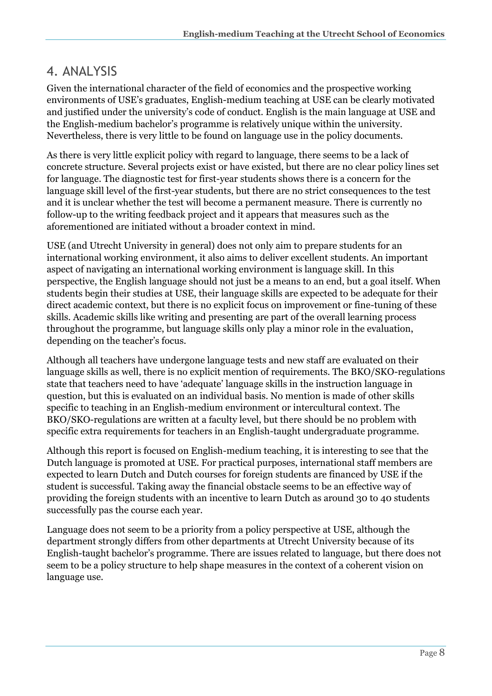## 4. ANALYSIS

Given the international character of the field of economics and the prospective working environments of USE's graduates, English-medium teaching at USE can be clearly motivated and justified under the university's code of conduct. English is the main language at USE and the English-medium bachelor's programme is relatively unique within the university. Nevertheless, there is very little to be found on language use in the policy documents.

As there is very little explicit policy with regard to language, there seems to be a lack of concrete structure. Several projects exist or have existed, but there are no clear policy lines set for language. The diagnostic test for first-year students shows there is a concern for the language skill level of the first-year students, but there are no strict consequences to the test and it is unclear whether the test will become a permanent measure. There is currently no follow-up to the writing feedback project and it appears that measures such as the aforementioned are initiated without a broader context in mind.

USE (and Utrecht University in general) does not only aim to prepare students for an international working environment, it also aims to deliver excellent students. An important aspect of navigating an international working environment is language skill. In this perspective, the English language should not just be a means to an end, but a goal itself. When students begin their studies at USE, their language skills are expected to be adequate for their direct academic context, but there is no explicit focus on improvement or fine-tuning of these skills. Academic skills like writing and presenting are part of the overall learning process throughout the programme, but language skills only play a minor role in the evaluation, depending on the teacher's focus.

Although all teachers have undergone language tests and new staff are evaluated on their language skills as well, there is no explicit mention of requirements. The BKO/SKO-regulations state that teachers need to have 'adequate' language skills in the instruction language in question, but this is evaluated on an individual basis. No mention is made of other skills specific to teaching in an English-medium environment or intercultural context. The BKO/SKO-regulations are written at a faculty level, but there should be no problem with specific extra requirements for teachers in an English-taught undergraduate programme.

Although this report is focused on English-medium teaching, it is interesting to see that the Dutch language is promoted at USE. For practical purposes, international staff members are expected to learn Dutch and Dutch courses for foreign students are financed by USE if the student is successful. Taking away the financial obstacle seems to be an effective way of providing the foreign students with an incentive to learn Dutch as around 30 to 40 students successfully pas the course each year.

Language does not seem to be a priority from a policy perspective at USE, although the department strongly differs from other departments at Utrecht University because of its English-taught bachelor's programme. There are issues related to language, but there does not seem to be a policy structure to help shape measures in the context of a coherent vision on language use.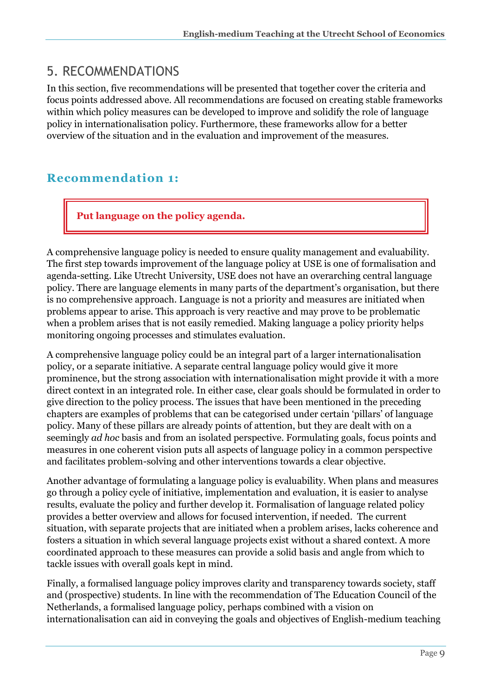## 5. RECOMMENDATIONS

In this section, five recommendations will be presented that together cover the criteria and focus points addressed above. All recommendations are focused on creating stable frameworks within which policy measures can be developed to improve and solidify the role of language policy in internationalisation policy. Furthermore, these frameworks allow for a better overview of the situation and in the evaluation and improvement of the measures.

## **Recommendation 1:**

**Put language on the policy agenda.**

A comprehensive language policy is needed to ensure quality management and evaluability. The first step towards improvement of the language policy at USE is one of formalisation and agenda-setting. Like Utrecht University, USE does not have an overarching central language policy. There are language elements in many parts of the department's organisation, but there is no comprehensive approach. Language is not a priority and measures are initiated when problems appear to arise. This approach is very reactive and may prove to be problematic when a problem arises that is not easily remedied. Making language a policy priority helps monitoring ongoing processes and stimulates evaluation.

A comprehensive language policy could be an integral part of a larger internationalisation policy, or a separate initiative. A separate central language policy would give it more prominence, but the strong association with internationalisation might provide it with a more direct context in an integrated role. In either case, clear goals should be formulated in order to give direction to the policy process. The issues that have been mentioned in the preceding chapters are examples of problems that can be categorised under certain 'pillars' of language policy. Many of these pillars are already points of attention, but they are dealt with on a seemingly *ad hoc* basis and from an isolated perspective. Formulating goals, focus points and measures in one coherent vision puts all aspects of language policy in a common perspective and facilitates problem-solving and other interventions towards a clear objective.

Another advantage of formulating a language policy is evaluability. When plans and measures go through a policy cycle of initiative, implementation and evaluation, it is easier to analyse results, evaluate the policy and further develop it. Formalisation of language related policy provides a better overview and allows for focused intervention, if needed. The current situation, with separate projects that are initiated when a problem arises, lacks coherence and fosters a situation in which several language projects exist without a shared context. A more coordinated approach to these measures can provide a solid basis and angle from which to tackle issues with overall goals kept in mind.

Finally, a formalised language policy improves clarity and transparency towards society, staff and (prospective) students. In line with the recommendation of The Education Council of the Netherlands, a formalised language policy, perhaps combined with a vision on internationalisation can aid in conveying the goals and objectives of English-medium teaching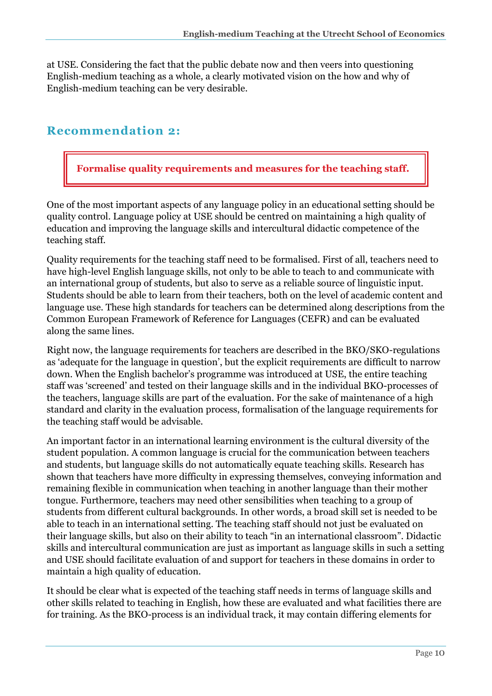at USE. Considering the fact that the public debate now and then veers into questioning English-medium teaching as a whole, a clearly motivated vision on the how and why of English-medium teaching can be very desirable.

### **Recommendation 2:**

**Formalise quality requirements and measures for the teaching staff.**

One of the most important aspects of any language policy in an educational setting should be quality control. Language policy at USE should be centred on maintaining a high quality of education and improving the language skills and intercultural didactic competence of the teaching staff.

Quality requirements for the teaching staff need to be formalised. First of all, teachers need to have high-level English language skills, not only to be able to teach to and communicate with an international group of students, but also to serve as a reliable source of linguistic input. Students should be able to learn from their teachers, both on the level of academic content and language use. These high standards for teachers can be determined along descriptions from the Common European Framework of Reference for Languages (CEFR) and can be evaluated along the same lines.

Right now, the language requirements for teachers are described in the BKO/SKO-regulations as 'adequate for the language in question', but the explicit requirements are difficult to narrow down. When the English bachelor's programme was introduced at USE, the entire teaching staff was 'screened' and tested on their language skills and in the individual BKO-processes of the teachers, language skills are part of the evaluation. For the sake of maintenance of a high standard and clarity in the evaluation process, formalisation of the language requirements for the teaching staff would be advisable.

An important factor in an international learning environment is the cultural diversity of the student population. A common language is crucial for the communication between teachers and students, but language skills do not automatically equate teaching skills. Research has shown that teachers have more difficulty in expressing themselves, conveying information and remaining flexible in communication when teaching in another language than their mother tongue. Furthermore, teachers may need other sensibilities when teaching to a group of students from different cultural backgrounds. In other words, a broad skill set is needed to be able to teach in an international setting. The teaching staff should not just be evaluated on their language skills, but also on their ability to teach "in an international classroom". Didactic skills and intercultural communication are just as important as language skills in such a setting and USE should facilitate evaluation of and support for teachers in these domains in order to maintain a high quality of education.

It should be clear what is expected of the teaching staff needs in terms of language skills and other skills related to teaching in English, how these are evaluated and what facilities there are for training. As the BKO-process is an individual track, it may contain differing elements for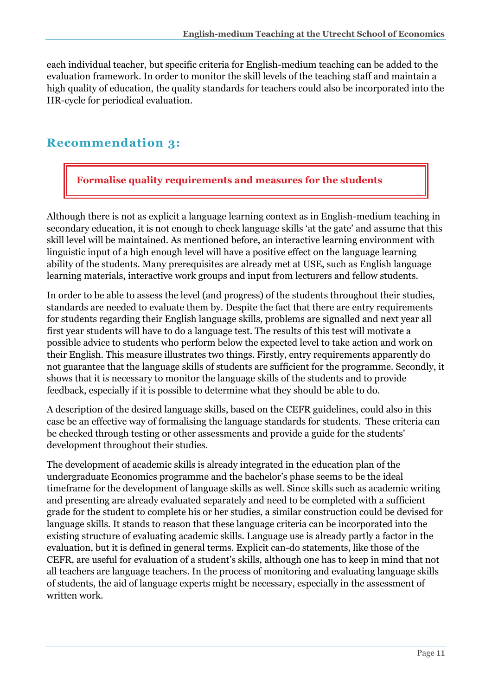each individual teacher, but specific criteria for English-medium teaching can be added to the evaluation framework. In order to monitor the skill levels of the teaching staff and maintain a high quality of education, the quality standards for teachers could also be incorporated into the HR-cycle for periodical evaluation.

## **Recommendation 3:**

**Formalise quality requirements and measures for the students**

Although there is not as explicit a language learning context as in English-medium teaching in secondary education, it is not enough to check language skills 'at the gate' and assume that this skill level will be maintained. As mentioned before, an interactive learning environment with linguistic input of a high enough level will have a positive effect on the language learning ability of the students. Many prerequisites are already met at USE, such as English language learning materials, interactive work groups and input from lecturers and fellow students.

In order to be able to assess the level (and progress) of the students throughout their studies, standards are needed to evaluate them by. Despite the fact that there are entry requirements for students regarding their English language skills, problems are signalled and next year all first year students will have to do a language test. The results of this test will motivate a possible advice to students who perform below the expected level to take action and work on their English. This measure illustrates two things. Firstly, entry requirements apparently do not guarantee that the language skills of students are sufficient for the programme. Secondly, it shows that it is necessary to monitor the language skills of the students and to provide feedback, especially if it is possible to determine what they should be able to do.

A description of the desired language skills, based on the CEFR guidelines, could also in this case be an effective way of formalising the language standards for students. These criteria can be checked through testing or other assessments and provide a guide for the students' development throughout their studies.

The development of academic skills is already integrated in the education plan of the undergraduate Economics programme and the bachelor's phase seems to be the ideal timeframe for the development of language skills as well. Since skills such as academic writing and presenting are already evaluated separately and need to be completed with a sufficient grade for the student to complete his or her studies, a similar construction could be devised for language skills. It stands to reason that these language criteria can be incorporated into the existing structure of evaluating academic skills. Language use is already partly a factor in the evaluation, but it is defined in general terms. Explicit can-do statements, like those of the CEFR, are useful for evaluation of a student's skills, although one has to keep in mind that not all teachers are language teachers. In the process of monitoring and evaluating language skills of students, the aid of language experts might be necessary, especially in the assessment of written work.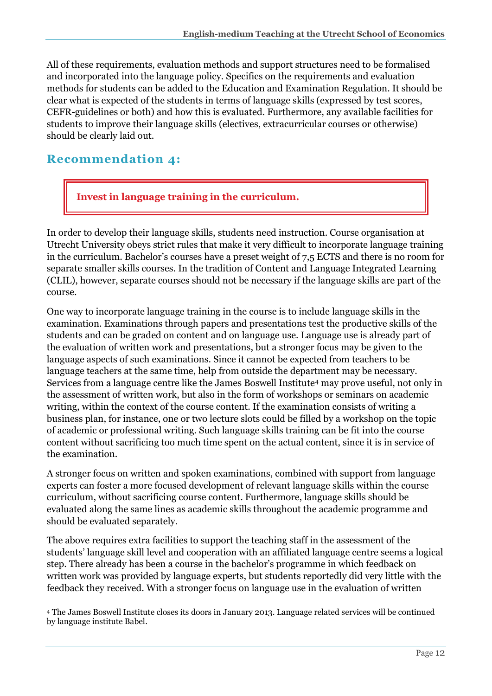All of these requirements, evaluation methods and support structures need to be formalised and incorporated into the language policy. Specifics on the requirements and evaluation methods for students can be added to the Education and Examination Regulation. It should be clear what is expected of the students in terms of language skills (expressed by test scores, CEFR-guidelines or both) and how this is evaluated. Furthermore, any available facilities for students to improve their language skills (electives, extracurricular courses or otherwise) should be clearly laid out.

## **Recommendation 4:**

**Invest in language training in the curriculum.**

In order to develop their language skills, students need instruction. Course organisation at Utrecht University obeys strict rules that make it very difficult to incorporate language training in the curriculum. Bachelor's courses have a preset weight of 7,5 ECTS and there is no room for separate smaller skills courses. In the tradition of Content and Language Integrated Learning (CLIL), however, separate courses should not be necessary if the language skills are part of the course.

One way to incorporate language training in the course is to include language skills in the examination. Examinations through papers and presentations test the productive skills of the students and can be graded on content and on language use. Language use is already part of the evaluation of written work and presentations, but a stronger focus may be given to the language aspects of such examinations. Since it cannot be expected from teachers to be language teachers at the same time, help from outside the department may be necessary. Services from a language centre like the James Boswell Institute<sup>4</sup> may prove useful, not only in the assessment of written work, but also in the form of workshops or seminars on academic writing, within the context of the course content. If the examination consists of writing a business plan, for instance, one or two lecture slots could be filled by a workshop on the topic of academic or professional writing. Such language skills training can be fit into the course content without sacrificing too much time spent on the actual content, since it is in service of the examination.

A stronger focus on written and spoken examinations, combined with support from language experts can foster a more focused development of relevant language skills within the course curriculum, without sacrificing course content. Furthermore, language skills should be evaluated along the same lines as academic skills throughout the academic programme and should be evaluated separately.

The above requires extra facilities to support the teaching staff in the assessment of the students' language skill level and cooperation with an affiliated language centre seems a logical step. There already has been a course in the bachelor's programme in which feedback on written work was provided by language experts, but students reportedly did very little with the feedback they received. With a stronger focus on language use in the evaluation of written

<sup>-</sup><sup>4</sup> The James Boswell Institute closes its doors in January 2013. Language related services will be continued by language institute Babel.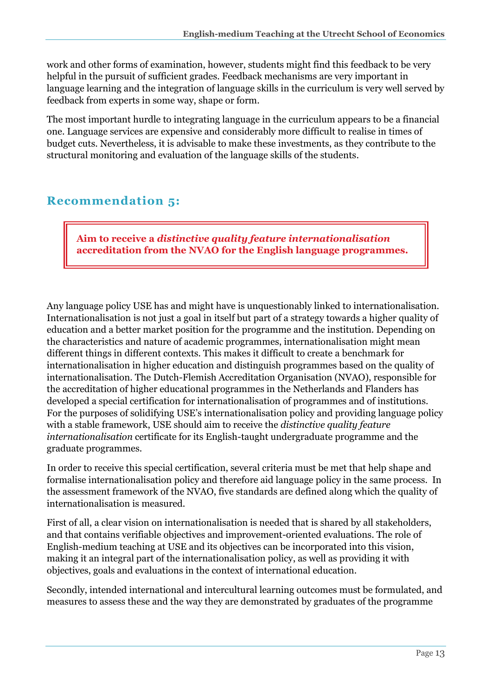work and other forms of examination, however, students might find this feedback to be very helpful in the pursuit of sufficient grades. Feedback mechanisms are very important in language learning and the integration of language skills in the curriculum is very well served by feedback from experts in some way, shape or form.

The most important hurdle to integrating language in the curriculum appears to be a financial one. Language services are expensive and considerably more difficult to realise in times of budget cuts. Nevertheless, it is advisable to make these investments, as they contribute to the structural monitoring and evaluation of the language skills of the students.

## **Recommendation 5:**

**Aim to receive a** *distinctive quality feature internationalisation*  **accreditation from the NVAO for the English language programmes.**

Any language policy USE has and might have is unquestionably linked to internationalisation. Internationalisation is not just a goal in itself but part of a strategy towards a higher quality of education and a better market position for the programme and the institution. Depending on the characteristics and nature of academic programmes, internationalisation might mean different things in different contexts. This makes it difficult to create a benchmark for internationalisation in higher education and distinguish programmes based on the quality of internationalisation. The Dutch-Flemish Accreditation Organisation (NVAO), responsible for the accreditation of higher educational programmes in the Netherlands and Flanders has developed a special certification for internationalisation of programmes and of institutions. For the purposes of solidifying USE's internationalisation policy and providing language policy with a stable framework, USE should aim to receive the *distinctive quality feature internationalisation* certificate for its English-taught undergraduate programme and the graduate programmes.

In order to receive this special certification, several criteria must be met that help shape and formalise internationalisation policy and therefore aid language policy in the same process. In the assessment framework of the NVAO, five standards are defined along which the quality of internationalisation is measured.

First of all, a clear vision on internationalisation is needed that is shared by all stakeholders, and that contains verifiable objectives and improvement-oriented evaluations. The role of English-medium teaching at USE and its objectives can be incorporated into this vision, making it an integral part of the internationalisation policy, as well as providing it with objectives, goals and evaluations in the context of international education.

Secondly, intended international and intercultural learning outcomes must be formulated, and measures to assess these and the way they are demonstrated by graduates of the programme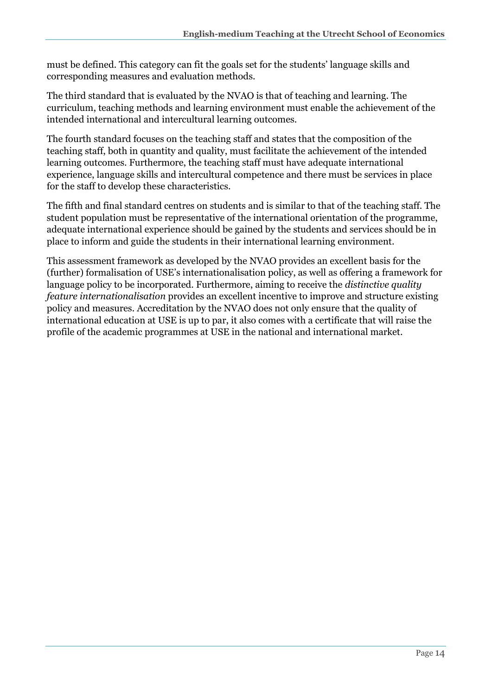must be defined. This category can fit the goals set for the students' language skills and corresponding measures and evaluation methods.

The third standard that is evaluated by the NVAO is that of teaching and learning. The curriculum, teaching methods and learning environment must enable the achievement of the intended international and intercultural learning outcomes.

The fourth standard focuses on the teaching staff and states that the composition of the teaching staff, both in quantity and quality, must facilitate the achievement of the intended learning outcomes. Furthermore, the teaching staff must have adequate international experience, language skills and intercultural competence and there must be services in place for the staff to develop these characteristics.

The fifth and final standard centres on students and is similar to that of the teaching staff. The student population must be representative of the international orientation of the programme, adequate international experience should be gained by the students and services should be in place to inform and guide the students in their international learning environment.

This assessment framework as developed by the NVAO provides an excellent basis for the (further) formalisation of USE's internationalisation policy, as well as offering a framework for language policy to be incorporated. Furthermore, aiming to receive the *distinctive quality feature internationalisation* provides an excellent incentive to improve and structure existing policy and measures. Accreditation by the NVAO does not only ensure that the quality of international education at USE is up to par, it also comes with a certificate that will raise the profile of the academic programmes at USE in the national and international market.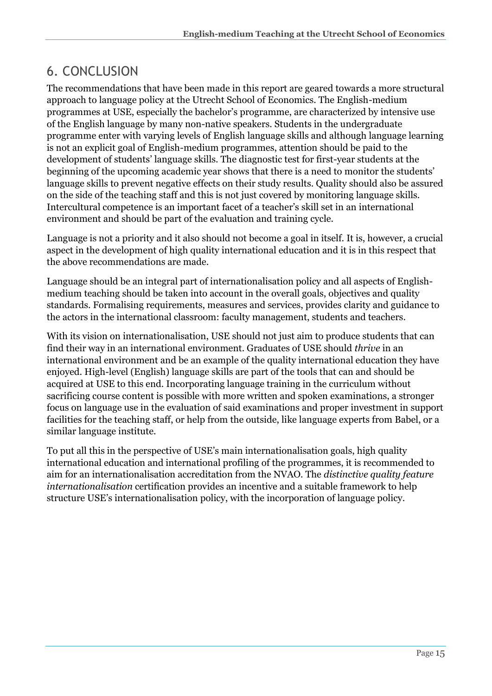# 6. CONCLUSION

The recommendations that have been made in this report are geared towards a more structural approach to language policy at the Utrecht School of Economics. The English-medium programmes at USE, especially the bachelor's programme, are characterized by intensive use of the English language by many non-native speakers. Students in the undergraduate programme enter with varying levels of English language skills and although language learning is not an explicit goal of English-medium programmes, attention should be paid to the development of students' language skills. The diagnostic test for first-year students at the beginning of the upcoming academic year shows that there is a need to monitor the students' language skills to prevent negative effects on their study results. Quality should also be assured on the side of the teaching staff and this is not just covered by monitoring language skills. Intercultural competence is an important facet of a teacher's skill set in an international environment and should be part of the evaluation and training cycle.

Language is not a priority and it also should not become a goal in itself. It is, however, a crucial aspect in the development of high quality international education and it is in this respect that the above recommendations are made.

Language should be an integral part of internationalisation policy and all aspects of Englishmedium teaching should be taken into account in the overall goals, objectives and quality standards. Formalising requirements, measures and services, provides clarity and guidance to the actors in the international classroom: faculty management, students and teachers.

With its vision on internationalisation, USE should not just aim to produce students that can find their way in an international environment. Graduates of USE should *thrive* in an international environment and be an example of the quality international education they have enjoyed. High-level (English) language skills are part of the tools that can and should be acquired at USE to this end. Incorporating language training in the curriculum without sacrificing course content is possible with more written and spoken examinations, a stronger focus on language use in the evaluation of said examinations and proper investment in support facilities for the teaching staff, or help from the outside, like language experts from Babel, or a similar language institute.

To put all this in the perspective of USE's main internationalisation goals, high quality international education and international profiling of the programmes, it is recommended to aim for an internationalisation accreditation from the NVAO. The *distinctive quality feature internationalisation* certification provides an incentive and a suitable framework to help structure USE's internationalisation policy, with the incorporation of language policy.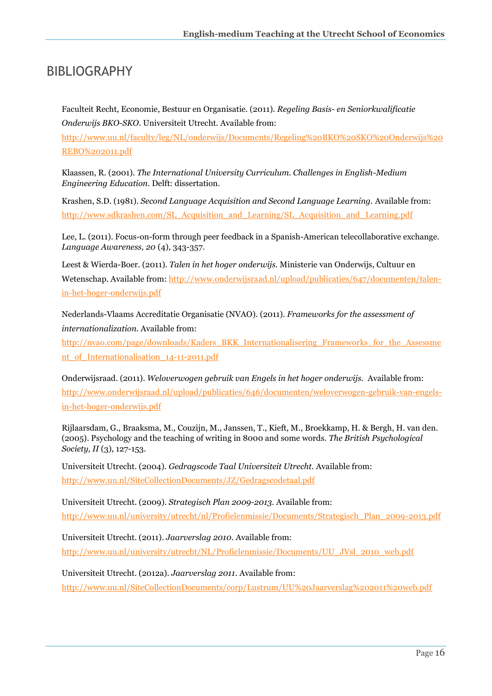## BIBLIOGRAPHY

Faculteit Recht, Economie, Bestuur en Organisatie. (2011). *Regeling Basis- en Seniorkwalificatie Onderwijs BKO-SKO.* Universiteit Utrecht. Available from:

[http://www.uu.nl/faculty/leg/NL/onderwijs/Documents/Regeling%20BKO%20SKO%20Onderwijs%20](http://www.uu.nl/faculty/leg/NL/onderwijs/Documents/Regeling%20BKO%20SKO%20Onderwijs%20REBO%202011.pdf) [REBO%202011.pdf](http://www.uu.nl/faculty/leg/NL/onderwijs/Documents/Regeling%20BKO%20SKO%20Onderwijs%20REBO%202011.pdf)

Klaassen, R. (2001). *The International University Curriculum. Challenges in English-Medium Engineering Education*. Delft: dissertation.

Krashen, S.D. (1981). *Second Language Acquisition and Second Language Learning.* Available from: [http://www.sdkrashen.com/SL\\_Acquisition\\_and\\_Learning/SL\\_Acquisition\\_and\\_Learning.pdf](http://www.sdkrashen.com/SL_Acquisition_and_Learning/SL_Acquisition_and_Learning.pdf)

Lee, L. (2011). Focus-on-form through peer feedback in a Spanish-American telecollaborative exchange. *Language Awareness, 20* (4), 343-357.

Leest & Wierda-Boer. (2011). *Talen in het hoger onderwijs.* Ministerie van Onderwijs, Cultuur en Wetenschap. Available from: [http://www.onderwijsraad.nl/upload/publicaties/647/documenten/talen](http://www.onderwijsraad.nl/upload/publicaties/647/documenten/talen-in-het-hoger-onderwijs.pdf)[in-het-hoger-onderwijs.pdf](http://www.onderwijsraad.nl/upload/publicaties/647/documenten/talen-in-het-hoger-onderwijs.pdf)

Nederlands-Vlaams Accreditatie Organisatie (NVAO). (2011). *Frameworks for the assessment of internationalization.* Available from:

[http://nvao.com/page/downloads/Kaders\\_BKK\\_Internationalisering\\_Frameworks\\_for\\_the\\_Assessme](http://nvao.com/page/downloads/Kaders_BKK_Internationalisering_Frameworks_for_the_Assessment_of_Internationalisation_14-11-2011.pdf) [nt\\_of\\_Internationalisation\\_14-11-2011.pdf](http://nvao.com/page/downloads/Kaders_BKK_Internationalisering_Frameworks_for_the_Assessment_of_Internationalisation_14-11-2011.pdf)

Onderwijsraad. (2011). *Weloverwogen gebruik van Engels in het hoger onderwijs.* Available from: [http://www.onderwijsraad.nl/upload/publicaties/646/documenten/weloverwogen-gebruik-van-engels](http://www.onderwijsraad.nl/upload/publicaties/646/documenten/weloverwogen-gebruik-van-engels-in-het-hoger-onderwijs.pdf)[in-het-hoger-onderwijs.pdf](http://www.onderwijsraad.nl/upload/publicaties/646/documenten/weloverwogen-gebruik-van-engels-in-het-hoger-onderwijs.pdf)

Rijlaarsdam, G., Braaksma, M., Couzijn, M., Janssen, T., Kieft, M., Broekkamp, H. & Bergh, H. van den. (2005). Psychology and the teaching of writing in 8000 and some words. *The British Psychological Society, II* (3), 127-153.

Universiteit Utrecht. (2004). *Gedragscode Taal Universiteit Utrecht.* Available from: <http://www.uu.nl/SiteCollectionDocuments/JZ/Gedragscodetaal.pdf>

Universiteit Utrecht. (2009). *Strategisch Plan 2009-2013.* Available from: [http://www.uu.nl/university/utrecht/nl/Profielenmissie/Documents/Strategisch\\_Plan\\_2009-2013.pdf](http://www.uu.nl/university/utrecht/nl/Profielenmissie/Documents/Strategisch_Plan_2009-2013.pdf)

Universiteit Utrecht. (2011). *Jaarverslag 2010.* Available from: [http://www.uu.nl/university/utrecht/NL/Profielenmissie/Documents/UU\\_JVsl\\_2010\\_web.pdf](http://www.uu.nl/university/utrecht/NL/Profielenmissie/Documents/UU_JVsl_2010_web.pdf)

Universiteit Utrecht. (2012a). *Jaarverslag 2011.* Available from: <http://www.uu.nl/SiteCollectionDocuments/corp/Lustrum/UU%20Jaarverslag%202011%20web.pdf>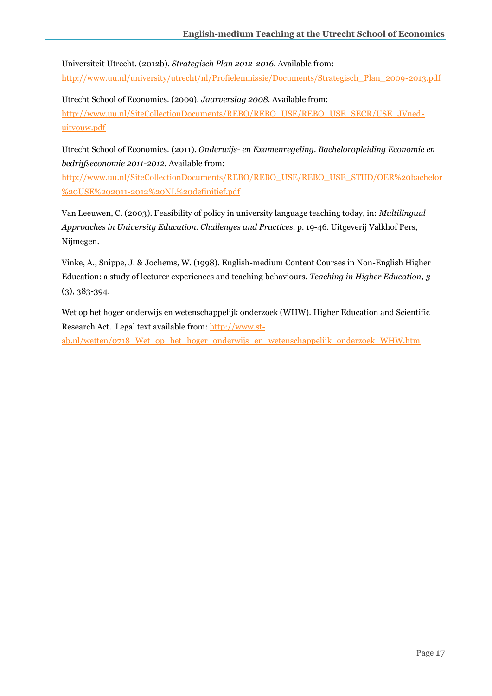Universiteit Utrecht. (2012b). *Strategisch Plan 2012-2016.* Available from: [http://www.uu.nl/university/utrecht/nl/Profielenmissie/Documents/Strategisch\\_Plan\\_2009-2013.pdf](http://www.uu.nl/university/utrecht/nl/Profielenmissie/Documents/Strategisch_Plan_2009-2013.pdf)

Utrecht School of Economics. (2009). *Jaarverslag 2008.* Available from: [http://www.uu.nl/SiteCollectionDocuments/REBO/REBO\\_USE/REBO\\_USE\\_SECR/USE\\_JVned](http://www.uu.nl/SiteCollectionDocuments/REBO/REBO_USE/REBO_USE_SECR/USE_JVned-uitvouw.pdf)[uitvouw.pdf](http://www.uu.nl/SiteCollectionDocuments/REBO/REBO_USE/REBO_USE_SECR/USE_JVned-uitvouw.pdf)

Utrecht School of Economics. (2011). *Onderwijs- en Examenregeling. Bacheloropleiding Economie en bedrijfseconomie 2011-2012.* Available from:

[http://www.uu.nl/SiteCollectionDocuments/REBO/REBO\\_USE/REBO\\_USE\\_STUD/OER%20bachelor](http://www.uu.nl/SiteCollectionDocuments/REBO/REBO_USE/REBO_USE_STUD/OER%20bachelor%20USE%202011-2012%20NL%20definitief.pdf) [%20USE%202011-2012%20NL%20definitief.pdf](http://www.uu.nl/SiteCollectionDocuments/REBO/REBO_USE/REBO_USE_STUD/OER%20bachelor%20USE%202011-2012%20NL%20definitief.pdf)

Van Leeuwen, C. (2003). Feasibility of policy in university language teaching today, in: *Multilingual Approaches in University Education. Challenges and Practices.* p. 19-46. Uitgeverij Valkhof Pers, Nijmegen.

Vinke, A., Snippe, J. & Jochems, W. (1998). English-medium Content Courses in Non-English Higher Education: a study of lecturer experiences and teaching behaviours. *Teaching in Higher Education, 3* (3)*,* 383-394.

Wet op het hoger onderwijs en wetenschappelijk onderzoek (WHW). Higher Education and Scientific Research Act. Legal text available from: [http://www.st](http://www.st-ab.nl/wetten/0718_Wet_op_het_hoger_onderwijs_en_wetenschappelijk_onderzoek_WHW.htm)ab.nl/wetten/0718 Wet op het hoger onderwijs en wetenschappelijk onderzoek WHW.htm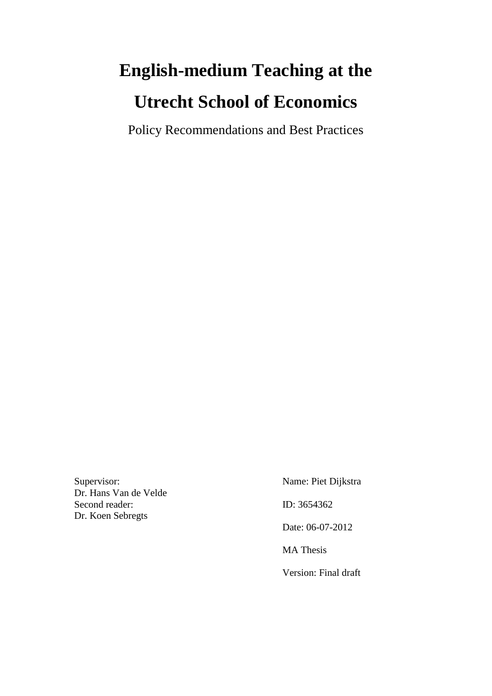# **English-medium Teaching at the Utrecht School of Economics**

Policy Recommendations and Best Practices

Supervisor:Name: Piet Dijkstra Dr. Hans Van de Velde Second reader: ID: 3654362 Dr. Koen Sebregts

 Date: 06-07-2012 MA Thesis Version: Final draft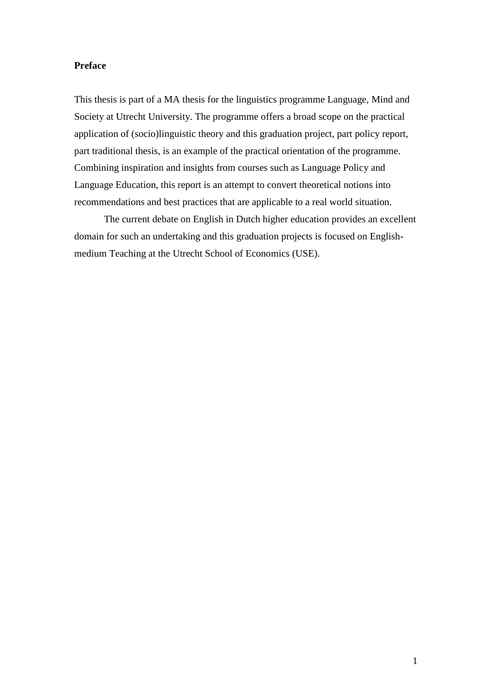### **Preface**

This thesis is part of a MA thesis for the linguistics programme Language, Mind and Society at Utrecht University. The programme offers a broad scope on the practical application of (socio)linguistic theory and this graduation project, part policy report, part traditional thesis, is an example of the practical orientation of the programme. Combining inspiration and insights from courses such as Language Policy and Language Education, this report is an attempt to convert theoretical notions into recommendations and best practices that are applicable to a real world situation.

The current debate on English in Dutch higher education provides an excellent domain for such an undertaking and this graduation projects is focused on Englishmedium Teaching at the Utrecht School of Economics (USE).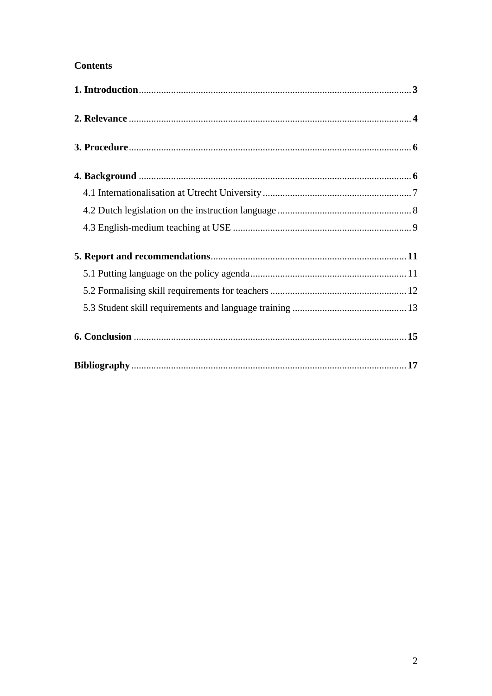### **Contents**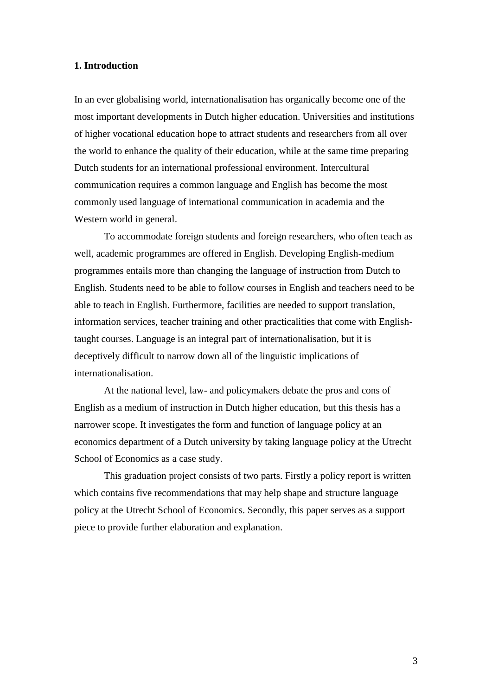### **1. Introduction**

In an ever globalising world, internationalisation has organically become one of the most important developments in Dutch higher education. Universities and institutions of higher vocational education hope to attract students and researchers from all over the world to enhance the quality of their education, while at the same time preparing Dutch students for an international professional environment. Intercultural communication requires a common language and English has become the most commonly used language of international communication in academia and the Western world in general.

To accommodate foreign students and foreign researchers, who often teach as well, academic programmes are offered in English. Developing English-medium programmes entails more than changing the language of instruction from Dutch to English. Students need to be able to follow courses in English and teachers need to be able to teach in English. Furthermore, facilities are needed to support translation, information services, teacher training and other practicalities that come with Englishtaught courses. Language is an integral part of internationalisation, but it is deceptively difficult to narrow down all of the linguistic implications of internationalisation.

At the national level, law- and policymakers debate the pros and cons of English as a medium of instruction in Dutch higher education, but this thesis has a narrower scope. It investigates the form and function of language policy at an economics department of a Dutch university by taking language policy at the Utrecht School of Economics as a case study.

This graduation project consists of two parts. Firstly a policy report is written which contains five recommendations that may help shape and structure language policy at the Utrecht School of Economics. Secondly, this paper serves as a support piece to provide further elaboration and explanation.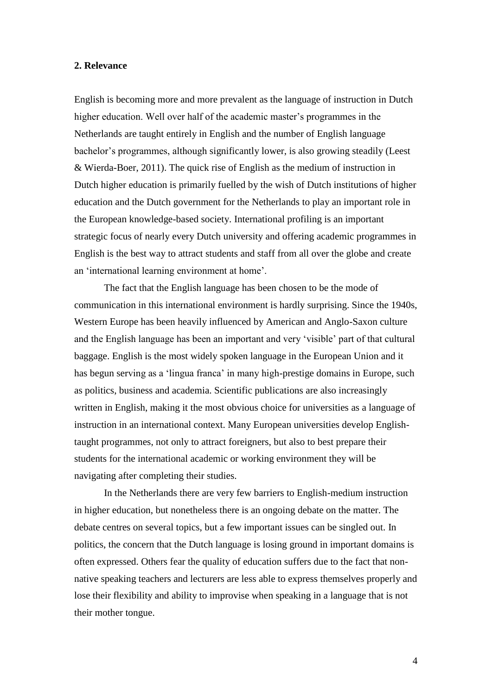### **2. Relevance**

English is becoming more and more prevalent as the language of instruction in Dutch higher education. Well over half of the academic master's programmes in the Netherlands are taught entirely in English and the number of English language bachelor's programmes, although significantly lower, is also growing steadily (Leest & Wierda-Boer, 2011). The quick rise of English as the medium of instruction in Dutch higher education is primarily fuelled by the wish of Dutch institutions of higher education and the Dutch government for the Netherlands to play an important role in the European knowledge-based society. International profiling is an important strategic focus of nearly every Dutch university and offering academic programmes in English is the best way to attract students and staff from all over the globe and create an 'international learning environment at home'.

The fact that the English language has been chosen to be the mode of communication in this international environment is hardly surprising. Since the 1940s, Western Europe has been heavily influenced by American and Anglo-Saxon culture and the English language has been an important and very 'visible' part of that cultural baggage. English is the most widely spoken language in the European Union and it has begun serving as a 'lingua franca' in many high-prestige domains in Europe, such as politics, business and academia. Scientific publications are also increasingly written in English, making it the most obvious choice for universities as a language of instruction in an international context. Many European universities develop Englishtaught programmes, not only to attract foreigners, but also to best prepare their students for the international academic or working environment they will be navigating after completing their studies.

In the Netherlands there are very few barriers to English-medium instruction in higher education, but nonetheless there is an ongoing debate on the matter. The debate centres on several topics, but a few important issues can be singled out. In politics, the concern that the Dutch language is losing ground in important domains is often expressed. Others fear the quality of education suffers due to the fact that nonnative speaking teachers and lecturers are less able to express themselves properly and lose their flexibility and ability to improvise when speaking in a language that is not their mother tongue.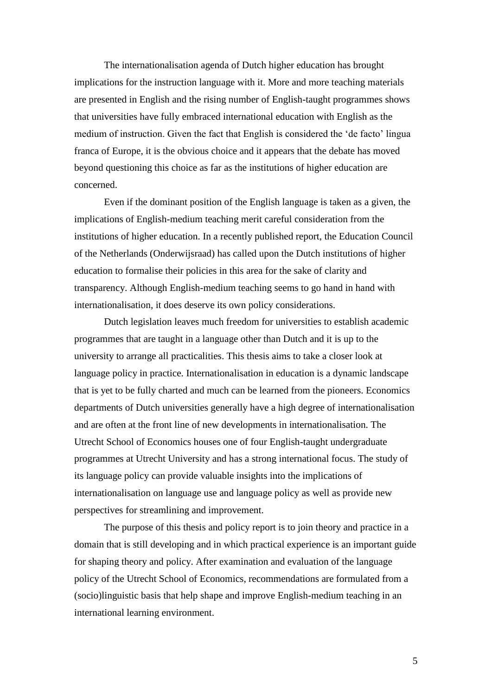The internationalisation agenda of Dutch higher education has brought implications for the instruction language with it. More and more teaching materials are presented in English and the rising number of English-taught programmes shows that universities have fully embraced international education with English as the medium of instruction. Given the fact that English is considered the 'de facto' lingua franca of Europe, it is the obvious choice and it appears that the debate has moved beyond questioning this choice as far as the institutions of higher education are concerned.

Even if the dominant position of the English language is taken as a given, the implications of English-medium teaching merit careful consideration from the institutions of higher education. In a recently published report, the Education Council of the Netherlands (Onderwijsraad) has called upon the Dutch institutions of higher education to formalise their policies in this area for the sake of clarity and transparency. Although English-medium teaching seems to go hand in hand with internationalisation, it does deserve its own policy considerations.

Dutch legislation leaves much freedom for universities to establish academic programmes that are taught in a language other than Dutch and it is up to the university to arrange all practicalities. This thesis aims to take a closer look at language policy in practice. Internationalisation in education is a dynamic landscape that is yet to be fully charted and much can be learned from the pioneers. Economics departments of Dutch universities generally have a high degree of internationalisation and are often at the front line of new developments in internationalisation. The Utrecht School of Economics houses one of four English-taught undergraduate programmes at Utrecht University and has a strong international focus. The study of its language policy can provide valuable insights into the implications of internationalisation on language use and language policy as well as provide new perspectives for streamlining and improvement.

The purpose of this thesis and policy report is to join theory and practice in a domain that is still developing and in which practical experience is an important guide for shaping theory and policy. After examination and evaluation of the language policy of the Utrecht School of Economics, recommendations are formulated from a (socio)linguistic basis that help shape and improve English-medium teaching in an international learning environment.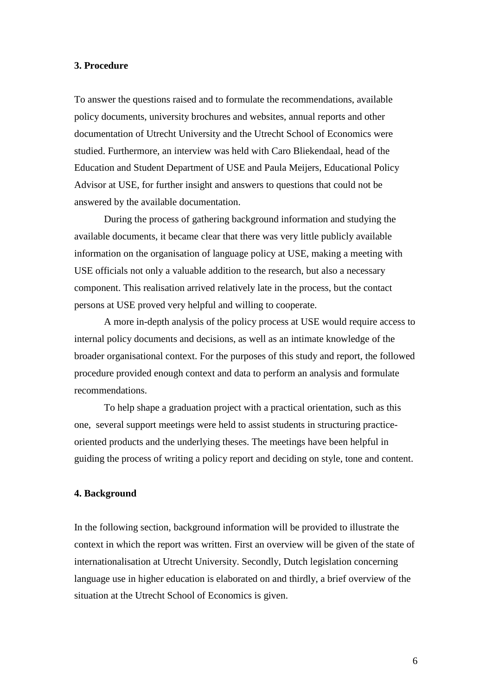### **3. Procedure**

To answer the questions raised and to formulate the recommendations, available policy documents, university brochures and websites, annual reports and other documentation of Utrecht University and the Utrecht School of Economics were studied. Furthermore, an interview was held with Caro Bliekendaal, head of the Education and Student Department of USE and Paula Meijers, Educational Policy Advisor at USE, for further insight and answers to questions that could not be answered by the available documentation.

During the process of gathering background information and studying the available documents, it became clear that there was very little publicly available information on the organisation of language policy at USE, making a meeting with USE officials not only a valuable addition to the research, but also a necessary component. This realisation arrived relatively late in the process, but the contact persons at USE proved very helpful and willing to cooperate.

A more in-depth analysis of the policy process at USE would require access to internal policy documents and decisions, as well as an intimate knowledge of the broader organisational context. For the purposes of this study and report, the followed procedure provided enough context and data to perform an analysis and formulate recommendations.

To help shape a graduation project with a practical orientation, such as this one, several support meetings were held to assist students in structuring practiceoriented products and the underlying theses. The meetings have been helpful in guiding the process of writing a policy report and deciding on style, tone and content.

### **4. Background**

In the following section, background information will be provided to illustrate the context in which the report was written. First an overview will be given of the state of internationalisation at Utrecht University. Secondly, Dutch legislation concerning language use in higher education is elaborated on and thirdly, a brief overview of the situation at the Utrecht School of Economics is given.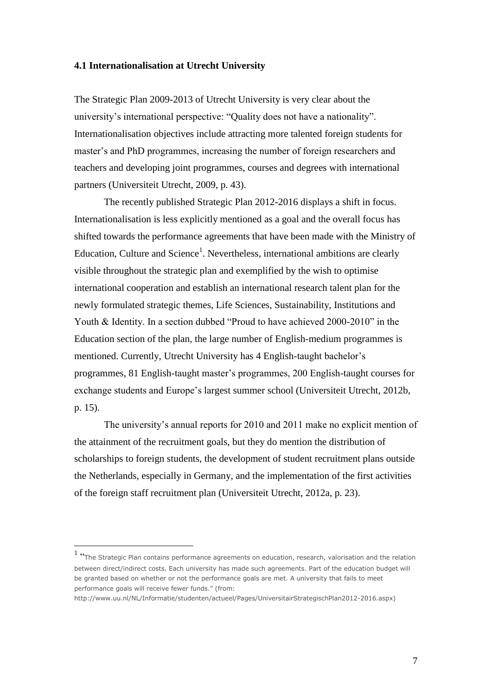### **4.1 Internationalisation at Utrecht University**

The Strategic Plan 2009-2013 of Utrecht University is very clear about the university's international perspective: "Quality does not have a nationality". Internationalisation objectives include attracting more talented foreign students for master's and PhD programmes, increasing the number of foreign researchers and teachers and developing joint programmes, courses and degrees with international partners (Universiteit Utrecht, 2009, p. 43).

The recently published Strategic Plan 2012-2016 displays a shift in focus. Internationalisation is less explicitly mentioned as a goal and the overall focus has shifted towards the performance agreements that have been made with the Ministry of Education, Culture and Science<sup>1</sup>. Nevertheless, international ambitions are clearly visible throughout the strategic plan and exemplified by the wish to optimise international cooperation and establish an international research talent plan for the newly formulated strategic themes, Life Sciences, Sustainability, Institutions and Youth & Identity. In a section dubbed "Proud to have achieved 2000-2010" in the Education section of the plan, the large number of English-medium programmes is mentioned. Currently, Utrecht University has 4 English-taught bachelor's programmes, 81 English-taught master's programmes, 200 English-taught courses for exchange students and Europe's largest summer school (Universiteit Utrecht, 2012b, p. 15).

The university's annual reports for 2010 and 2011 make no explicit mention of the attainment of the recruitment goals, but they do mention the distribution of scholarships to foreign students, the development of student recruitment plans outside the Netherlands, especially in Germany, and the implementation of the first activities of the foreign staff recruitment plan (Universiteit Utrecht, 2012a, p. 23).

http://www.uu.nl/NL/Informatie/studenten/actueel/Pages/UniversitairStrategischPlan2012-2016.aspx)

 $\overline{a}$ 

<sup>1</sup> "The Strategic Plan contains performance agreements on education, research, valorisation and the relation between direct/indirect costs. Each university has made such agreements. Part of the education budget will be granted based on whether or not the performance goals are met. A university that fails to meet performance goals will receive fewer funds." (from: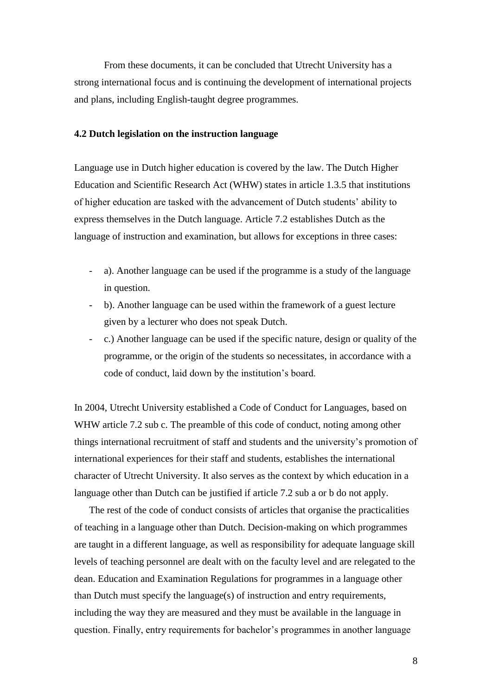From these documents, it can be concluded that Utrecht University has a strong international focus and is continuing the development of international projects and plans, including English-taught degree programmes.

### **4.2 Dutch legislation on the instruction language**

Language use in Dutch higher education is covered by the law. The Dutch Higher Education and Scientific Research Act (WHW) states in article 1.3.5 that institutions of higher education are tasked with the advancement of Dutch students' ability to express themselves in the Dutch language. Article 7.2 establishes Dutch as the language of instruction and examination, but allows for exceptions in three cases:

- a). Another language can be used if the programme is a study of the language in question.
- b). Another language can be used within the framework of a guest lecture given by a lecturer who does not speak Dutch.
- c.) Another language can be used if the specific nature, design or quality of the programme, or the origin of the students so necessitates, in accordance with a code of conduct, laid down by the institution's board.

In 2004, Utrecht University established a Code of Conduct for Languages, based on WHW article 7.2 sub c. The preamble of this code of conduct, noting among other things international recruitment of staff and students and the university's promotion of international experiences for their staff and students, establishes the international character of Utrecht University. It also serves as the context by which education in a language other than Dutch can be justified if article 7.2 sub a or b do not apply.

The rest of the code of conduct consists of articles that organise the practicalities of teaching in a language other than Dutch. Decision-making on which programmes are taught in a different language, as well as responsibility for adequate language skill levels of teaching personnel are dealt with on the faculty level and are relegated to the dean. Education and Examination Regulations for programmes in a language other than Dutch must specify the language(s) of instruction and entry requirements, including the way they are measured and they must be available in the language in question. Finally, entry requirements for bachelor's programmes in another language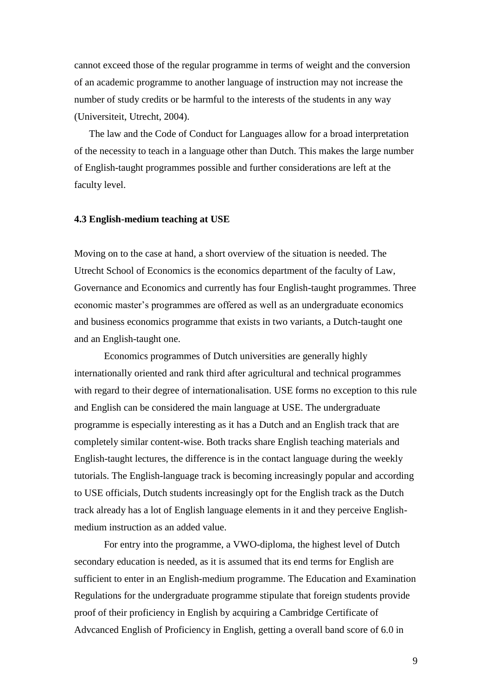cannot exceed those of the regular programme in terms of weight and the conversion of an academic programme to another language of instruction may not increase the number of study credits or be harmful to the interests of the students in any way (Universiteit, Utrecht, 2004).

The law and the Code of Conduct for Languages allow for a broad interpretation of the necessity to teach in a language other than Dutch. This makes the large number of English-taught programmes possible and further considerations are left at the faculty level.

#### **4.3 English-medium teaching at USE**

Moving on to the case at hand, a short overview of the situation is needed. The Utrecht School of Economics is the economics department of the faculty of Law, Governance and Economics and currently has four English-taught programmes. Three economic master's programmes are offered as well as an undergraduate economics and business economics programme that exists in two variants, a Dutch-taught one and an English-taught one.

Economics programmes of Dutch universities are generally highly internationally oriented and rank third after agricultural and technical programmes with regard to their degree of internationalisation. USE forms no exception to this rule and English can be considered the main language at USE. The undergraduate programme is especially interesting as it has a Dutch and an English track that are completely similar content-wise. Both tracks share English teaching materials and English-taught lectures, the difference is in the contact language during the weekly tutorials. The English-language track is becoming increasingly popular and according to USE officials, Dutch students increasingly opt for the English track as the Dutch track already has a lot of English language elements in it and they perceive Englishmedium instruction as an added value.

For entry into the programme, a VWO-diploma, the highest level of Dutch secondary education is needed, as it is assumed that its end terms for English are sufficient to enter in an English-medium programme. The Education and Examination Regulations for the undergraduate programme stipulate that foreign students provide proof of their proficiency in English by acquiring a Cambridge Certificate of Advcanced English of Proficiency in English, getting a overall band score of 6.0 in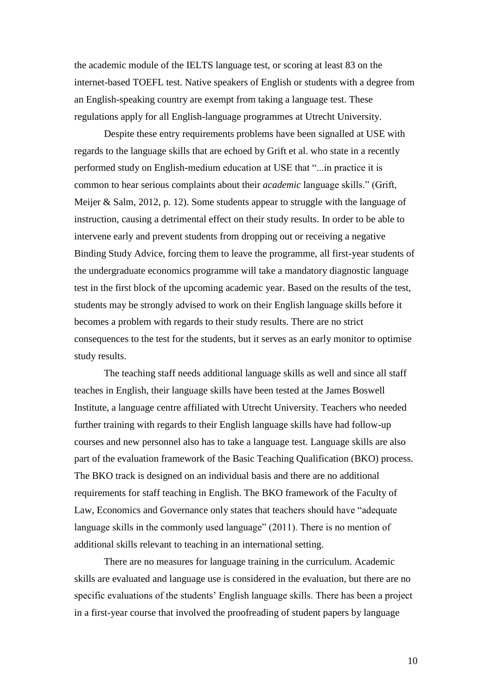the academic module of the IELTS language test, or scoring at least 83 on the internet-based TOEFL test. Native speakers of English or students with a degree from an English-speaking country are exempt from taking a language test. These regulations apply for all English-language programmes at Utrecht University.

Despite these entry requirements problems have been signalled at USE with regards to the language skills that are echoed by Grift et al. who state in a recently performed study on English-medium education at USE that "...in practice it is common to hear serious complaints about their *academic* language skills." (Grift, Meijer & Salm, 2012, p. 12). Some students appear to struggle with the language of instruction, causing a detrimental effect on their study results. In order to be able to intervene early and prevent students from dropping out or receiving a negative Binding Study Advice, forcing them to leave the programme, all first-year students of the undergraduate economics programme will take a mandatory diagnostic language test in the first block of the upcoming academic year. Based on the results of the test, students may be strongly advised to work on their English language skills before it becomes a problem with regards to their study results. There are no strict consequences to the test for the students, but it serves as an early monitor to optimise study results.

The teaching staff needs additional language skills as well and since all staff teaches in English, their language skills have been tested at the James Boswell Institute, a language centre affiliated with Utrecht University. Teachers who needed further training with regards to their English language skills have had follow-up courses and new personnel also has to take a language test. Language skills are also part of the evaluation framework of the Basic Teaching Qualification (BKO) process. The BKO track is designed on an individual basis and there are no additional requirements for staff teaching in English. The BKO framework of the Faculty of Law, Economics and Governance only states that teachers should have "adequate language skills in the commonly used language" (2011). There is no mention of additional skills relevant to teaching in an international setting.

There are no measures for language training in the curriculum. Academic skills are evaluated and language use is considered in the evaluation, but there are no specific evaluations of the students' English language skills. There has been a project in a first-year course that involved the proofreading of student papers by language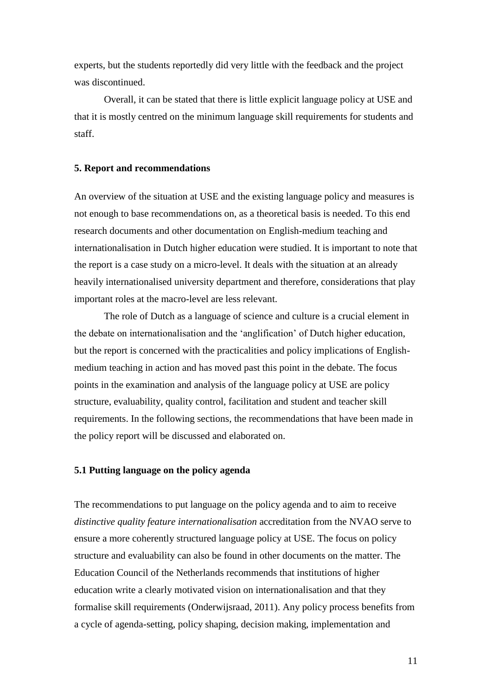experts, but the students reportedly did very little with the feedback and the project was discontinued.

Overall, it can be stated that there is little explicit language policy at USE and that it is mostly centred on the minimum language skill requirements for students and staff.

### **5. Report and recommendations**

An overview of the situation at USE and the existing language policy and measures is not enough to base recommendations on, as a theoretical basis is needed. To this end research documents and other documentation on English-medium teaching and internationalisation in Dutch higher education were studied. It is important to note that the report is a case study on a micro-level. It deals with the situation at an already heavily internationalised university department and therefore, considerations that play important roles at the macro-level are less relevant.

The role of Dutch as a language of science and culture is a crucial element in the debate on internationalisation and the 'anglification' of Dutch higher education, but the report is concerned with the practicalities and policy implications of Englishmedium teaching in action and has moved past this point in the debate. The focus points in the examination and analysis of the language policy at USE are policy structure, evaluability, quality control, facilitation and student and teacher skill requirements. In the following sections, the recommendations that have been made in the policy report will be discussed and elaborated on.

### **5.1 Putting language on the policy agenda**

The recommendations to put language on the policy agenda and to aim to receive *distinctive quality feature internationalisation* accreditation from the NVAO serve to ensure a more coherently structured language policy at USE. The focus on policy structure and evaluability can also be found in other documents on the matter. The Education Council of the Netherlands recommends that institutions of higher education write a clearly motivated vision on internationalisation and that they formalise skill requirements (Onderwijsraad, 2011). Any policy process benefits from a cycle of agenda-setting, policy shaping, decision making, implementation and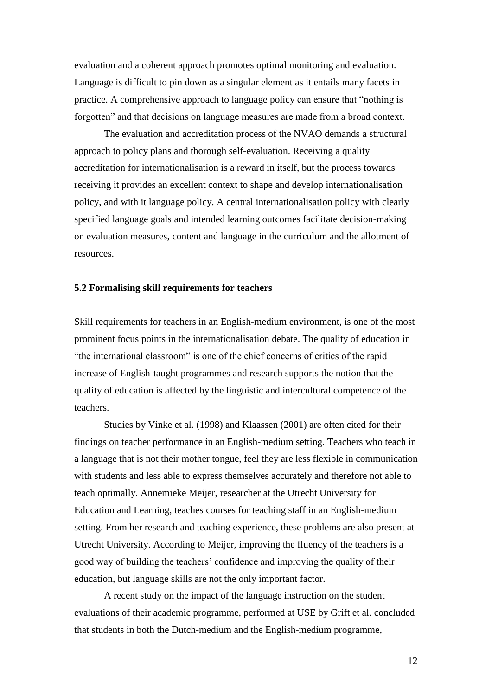evaluation and a coherent approach promotes optimal monitoring and evaluation. Language is difficult to pin down as a singular element as it entails many facets in practice. A comprehensive approach to language policy can ensure that "nothing is forgotten" and that decisions on language measures are made from a broad context.

The evaluation and accreditation process of the NVAO demands a structural approach to policy plans and thorough self-evaluation. Receiving a quality accreditation for internationalisation is a reward in itself, but the process towards receiving it provides an excellent context to shape and develop internationalisation policy, and with it language policy. A central internationalisation policy with clearly specified language goals and intended learning outcomes facilitate decision-making on evaluation measures, content and language in the curriculum and the allotment of resources.

### **5.2 Formalising skill requirements for teachers**

Skill requirements for teachers in an English-medium environment, is one of the most prominent focus points in the internationalisation debate. The quality of education in "the international classroom" is one of the chief concerns of critics of the rapid increase of English-taught programmes and research supports the notion that the quality of education is affected by the linguistic and intercultural competence of the teachers.

Studies by Vinke et al. (1998) and Klaassen (2001) are often cited for their findings on teacher performance in an English-medium setting. Teachers who teach in a language that is not their mother tongue, feel they are less flexible in communication with students and less able to express themselves accurately and therefore not able to teach optimally. Annemieke Meijer, researcher at the Utrecht University for Education and Learning, teaches courses for teaching staff in an English-medium setting. From her research and teaching experience, these problems are also present at Utrecht University. According to Meijer, improving the fluency of the teachers is a good way of building the teachers' confidence and improving the quality of their education, but language skills are not the only important factor.

A recent study on the impact of the language instruction on the student evaluations of their academic programme, performed at USE by Grift et al. concluded that students in both the Dutch-medium and the English-medium programme,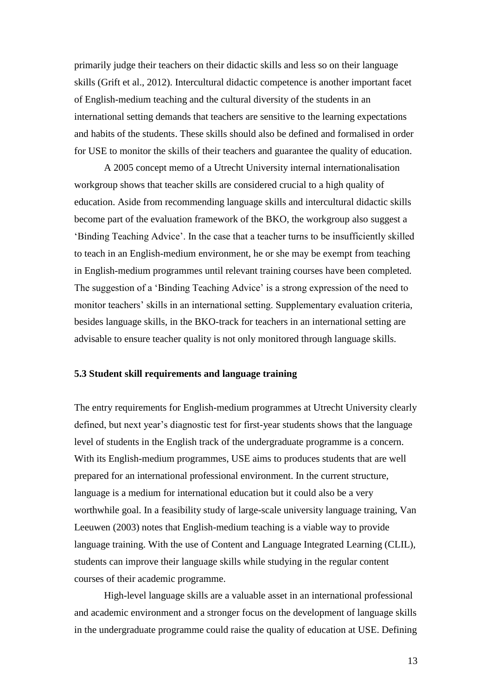primarily judge their teachers on their didactic skills and less so on their language skills (Grift et al., 2012). Intercultural didactic competence is another important facet of English-medium teaching and the cultural diversity of the students in an international setting demands that teachers are sensitive to the learning expectations and habits of the students. These skills should also be defined and formalised in order for USE to monitor the skills of their teachers and guarantee the quality of education.

A 2005 concept memo of a Utrecht University internal internationalisation workgroup shows that teacher skills are considered crucial to a high quality of education. Aside from recommending language skills and intercultural didactic skills become part of the evaluation framework of the BKO, the workgroup also suggest a 'Binding Teaching Advice'. In the case that a teacher turns to be insufficiently skilled to teach in an English-medium environment, he or she may be exempt from teaching in English-medium programmes until relevant training courses have been completed. The suggestion of a 'Binding Teaching Advice' is a strong expression of the need to monitor teachers' skills in an international setting. Supplementary evaluation criteria, besides language skills, in the BKO-track for teachers in an international setting are advisable to ensure teacher quality is not only monitored through language skills.

#### **5.3 Student skill requirements and language training**

The entry requirements for English-medium programmes at Utrecht University clearly defined, but next year's diagnostic test for first-year students shows that the language level of students in the English track of the undergraduate programme is a concern. With its English-medium programmes, USE aims to produces students that are well prepared for an international professional environment. In the current structure, language is a medium for international education but it could also be a very worthwhile goal. In a feasibility study of large-scale university language training, Van Leeuwen (2003) notes that English-medium teaching is a viable way to provide language training. With the use of Content and Language Integrated Learning (CLIL), students can improve their language skills while studying in the regular content courses of their academic programme.

High-level language skills are a valuable asset in an international professional and academic environment and a stronger focus on the development of language skills in the undergraduate programme could raise the quality of education at USE. Defining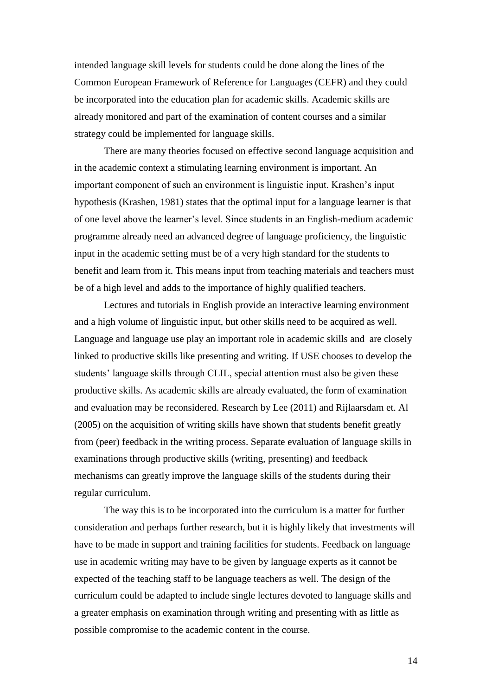intended language skill levels for students could be done along the lines of the Common European Framework of Reference for Languages (CEFR) and they could be incorporated into the education plan for academic skills. Academic skills are already monitored and part of the examination of content courses and a similar strategy could be implemented for language skills.

There are many theories focused on effective second language acquisition and in the academic context a stimulating learning environment is important. An important component of such an environment is linguistic input. Krashen's input hypothesis (Krashen, 1981) states that the optimal input for a language learner is that of one level above the learner's level. Since students in an English-medium academic programme already need an advanced degree of language proficiency, the linguistic input in the academic setting must be of a very high standard for the students to benefit and learn from it. This means input from teaching materials and teachers must be of a high level and adds to the importance of highly qualified teachers.

Lectures and tutorials in English provide an interactive learning environment and a high volume of linguistic input, but other skills need to be acquired as well. Language and language use play an important role in academic skills and are closely linked to productive skills like presenting and writing. If USE chooses to develop the students' language skills through CLIL, special attention must also be given these productive skills. As academic skills are already evaluated, the form of examination and evaluation may be reconsidered. Research by Lee (2011) and Rijlaarsdam et. Al (2005) on the acquisition of writing skills have shown that students benefit greatly from (peer) feedback in the writing process. Separate evaluation of language skills in examinations through productive skills (writing, presenting) and feedback mechanisms can greatly improve the language skills of the students during their regular curriculum.

The way this is to be incorporated into the curriculum is a matter for further consideration and perhaps further research, but it is highly likely that investments will have to be made in support and training facilities for students. Feedback on language use in academic writing may have to be given by language experts as it cannot be expected of the teaching staff to be language teachers as well. The design of the curriculum could be adapted to include single lectures devoted to language skills and a greater emphasis on examination through writing and presenting with as little as possible compromise to the academic content in the course.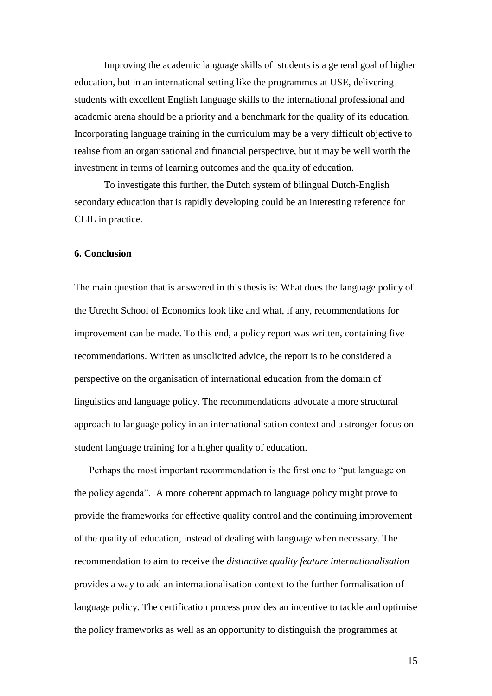Improving the academic language skills of students is a general goal of higher education, but in an international setting like the programmes at USE, delivering students with excellent English language skills to the international professional and academic arena should be a priority and a benchmark for the quality of its education. Incorporating language training in the curriculum may be a very difficult objective to realise from an organisational and financial perspective, but it may be well worth the investment in terms of learning outcomes and the quality of education.

To investigate this further, the Dutch system of bilingual Dutch-English secondary education that is rapidly developing could be an interesting reference for CLIL in practice.

#### **6. Conclusion**

The main question that is answered in this thesis is: What does the language policy of the Utrecht School of Economics look like and what, if any, recommendations for improvement can be made. To this end, a policy report was written, containing five recommendations. Written as unsolicited advice, the report is to be considered a perspective on the organisation of international education from the domain of linguistics and language policy. The recommendations advocate a more structural approach to language policy in an internationalisation context and a stronger focus on student language training for a higher quality of education.

Perhaps the most important recommendation is the first one to "put language on the policy agenda". A more coherent approach to language policy might prove to provide the frameworks for effective quality control and the continuing improvement of the quality of education, instead of dealing with language when necessary. The recommendation to aim to receive the *distinctive quality feature internationalisation* provides a way to add an internationalisation context to the further formalisation of language policy. The certification process provides an incentive to tackle and optimise the policy frameworks as well as an opportunity to distinguish the programmes at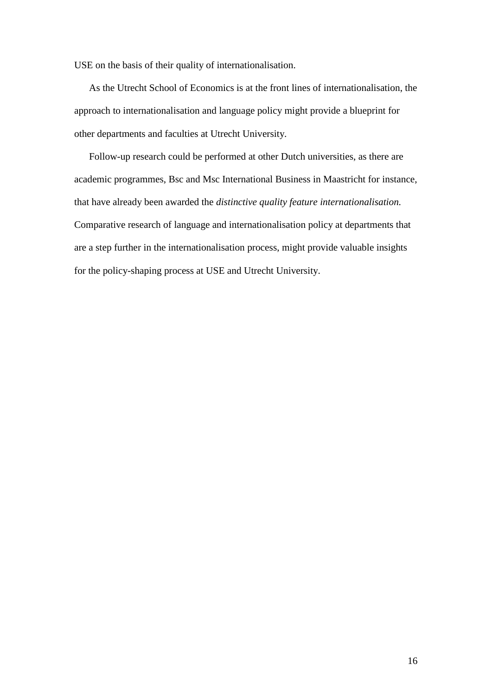USE on the basis of their quality of internationalisation.

As the Utrecht School of Economics is at the front lines of internationalisation, the approach to internationalisation and language policy might provide a blueprint for other departments and faculties at Utrecht University.

Follow-up research could be performed at other Dutch universities, as there are academic programmes, Bsc and Msc International Business in Maastricht for instance, that have already been awarded the *distinctive quality feature internationalisation.* Comparative research of language and internationalisation policy at departments that are a step further in the internationalisation process, might provide valuable insights for the policy-shaping process at USE and Utrecht University.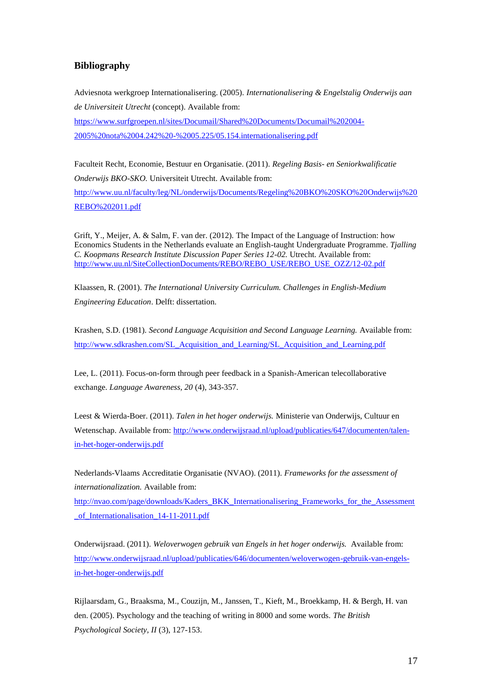### **Bibliography**

Adviesnota werkgroep Internationalisering. (2005). *Internationalisering & Engelstalig Onderwijs aan de Universiteit Utrecht* (concept). Available from: [https://www.surfgroepen.nl/sites/Documail/Shared%20Documents/Documail%202004-](https://www.surfgroepen.nl/sites/Documail/Shared%20Documents/Documail%202004-2005%20nota%2004.242%20-%2005.225/05.154.internationalisering.pdf) [2005%20nota%2004.242%20-%2005.225/05.154.internationalisering.pdf](https://www.surfgroepen.nl/sites/Documail/Shared%20Documents/Documail%202004-2005%20nota%2004.242%20-%2005.225/05.154.internationalisering.pdf)

Faculteit Recht, Economie, Bestuur en Organisatie. (2011). *Regeling Basis- en Seniorkwalificatie Onderwijs BKO-SKO.* Universiteit Utrecht. Available from: [http://www.uu.nl/faculty/leg/NL/onderwijs/Documents/Regeling%20BKO%20SKO%20Onderwijs%20](http://www.uu.nl/faculty/leg/NL/onderwijs/Documents/Regeling%20BKO%20SKO%20Onderwijs%20REBO%202011.pdf) [REBO%202011.pdf](http://www.uu.nl/faculty/leg/NL/onderwijs/Documents/Regeling%20BKO%20SKO%20Onderwijs%20REBO%202011.pdf)

Grift, Y., Meijer, A. & Salm, F. van der. (2012). The Impact of the Language of Instruction: how Economics Students in the Netherlands evaluate an English-taught Undergraduate Programme. *Tjalling C. Koopmans Research Institute Discussion Paper Series 12-02.* Utrecht. Available from: [http://www.uu.nl/SiteCollectionDocuments/REBO/REBO\\_USE/REBO\\_USE\\_OZZ/12-02.pdf](http://www.uu.nl/SiteCollectionDocuments/REBO/REBO_USE/REBO_USE_OZZ/12-02.pdf)

Klaassen, R. (2001). *The International University Curriculum. Challenges in English-Medium Engineering Education*. Delft: dissertation.

Krashen, S.D. (1981). *Second Language Acquisition and Second Language Learning.* Available from: [http://www.sdkrashen.com/SL\\_Acquisition\\_and\\_Learning/SL\\_Acquisition\\_and\\_Learning.pdf](http://www.sdkrashen.com/SL_Acquisition_and_Learning/SL_Acquisition_and_Learning.pdf)

Lee, L. (2011). Focus-on-form through peer feedback in a Spanish-American telecollaborative exchange. *Language Awareness, 20* (4), 343-357.

Leest & Wierda-Boer. (2011). *Talen in het hoger onderwijs.* Ministerie van Onderwijs, Cultuur en Wetenschap. Available from: [http://www.onderwijsraad.nl/upload/publicaties/647/documenten/talen](http://www.onderwijsraad.nl/upload/publicaties/647/documenten/talen-in-het-hoger-onderwijs.pdf)[in-het-hoger-onderwijs.pdf](http://www.onderwijsraad.nl/upload/publicaties/647/documenten/talen-in-het-hoger-onderwijs.pdf)

Nederlands-Vlaams Accreditatie Organisatie (NVAO). (2011). *Frameworks for the assessment of internationalization.* Available from:

[http://nvao.com/page/downloads/Kaders\\_BKK\\_Internationalisering\\_Frameworks\\_for\\_the\\_Assessment](http://nvao.com/page/downloads/Kaders_BKK_Internationalisering_Frameworks_for_the_Assessment_of_Internationalisation_14-11-2011.pdf) [\\_of\\_Internationalisation\\_14-11-2011.pdf](http://nvao.com/page/downloads/Kaders_BKK_Internationalisering_Frameworks_for_the_Assessment_of_Internationalisation_14-11-2011.pdf)

Onderwijsraad. (2011). *Weloverwogen gebruik van Engels in het hoger onderwijs.* Available from: [http://www.onderwijsraad.nl/upload/publicaties/646/documenten/weloverwogen-gebruik-van-engels](http://www.onderwijsraad.nl/upload/publicaties/646/documenten/weloverwogen-gebruik-van-engels-in-het-hoger-onderwijs.pdf)[in-het-hoger-onderwijs.pdf](http://www.onderwijsraad.nl/upload/publicaties/646/documenten/weloverwogen-gebruik-van-engels-in-het-hoger-onderwijs.pdf)

Rijlaarsdam, G., Braaksma, M., Couzijn, M., Janssen, T., Kieft, M., Broekkamp, H. & Bergh, H. van den. (2005). Psychology and the teaching of writing in 8000 and some words. *The British Psychological Society, II* (3), 127-153.